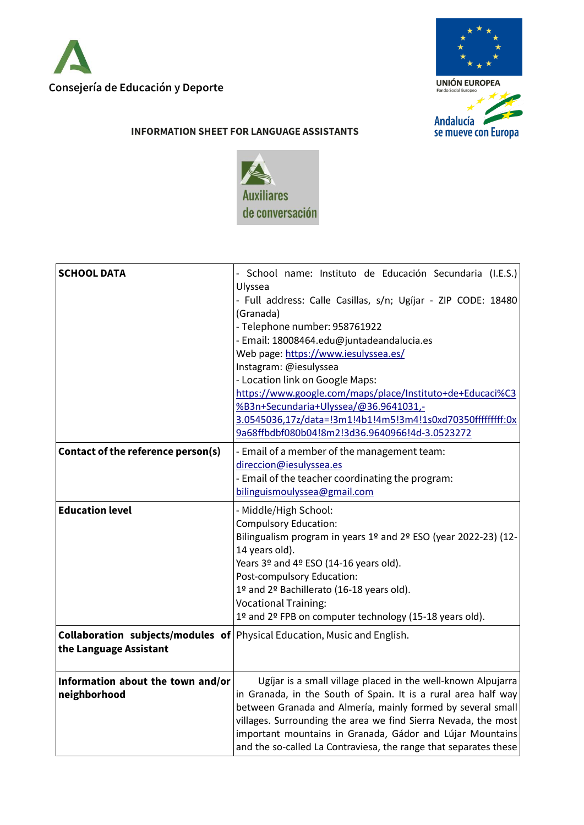



## **INFORMATION SHEET FOR LANGUAGE ASSISTANTS**



| <b>SCHOOL DATA</b>                                | - School name: Instituto de Educación Secundaria (I.E.S.)<br>Ulyssea<br>- Full address: Calle Casillas, s/n; Ugíjar - ZIP CODE: 18480<br>(Granada)<br>- Telephone number: 958761922<br>- Email: 18008464.edu@juntadeandalucia.es<br>Web page: https://www.iesulyssea.es/<br>Instagram: @iesulyssea<br>- Location link on Google Maps:<br>https://www.google.com/maps/place/Instituto+de+Educaci%C3<br>%B3n+Secundaria+Ulyssea/@36.9641031,-<br>3.0545036,17z/data=!3m1!4b1!4m5!3m4!1s0xd70350fffffffff:0x<br>9a68ffbdbf080b04!8m2!3d36.9640966!4d-3.0523272 |
|---------------------------------------------------|-------------------------------------------------------------------------------------------------------------------------------------------------------------------------------------------------------------------------------------------------------------------------------------------------------------------------------------------------------------------------------------------------------------------------------------------------------------------------------------------------------------------------------------------------------------|
| Contact of the reference person(s)                | - Email of a member of the management team:<br>direccion@iesulyssea.es<br>- Email of the teacher coordinating the program:<br>bilinguismoulyssea@gmail.com                                                                                                                                                                                                                                                                                                                                                                                                  |
| <b>Education level</b>                            | - Middle/High School:<br><b>Compulsory Education:</b><br>Bilingualism program in years 1º and 2º ESO (year 2022-23) (12-<br>14 years old).<br>Years 3º and 4º ESO (14-16 years old).<br>Post-compulsory Education:<br>1º and 2º Bachillerato (16-18 years old).<br><b>Vocational Training:</b><br>1º and 2º FPB on computer technology (15-18 years old).                                                                                                                                                                                                   |
| the Language Assistant                            | <b>Collaboration subjects/modules of Physical Education, Music and English.</b>                                                                                                                                                                                                                                                                                                                                                                                                                                                                             |
| Information about the town and/or<br>neighborhood | Ugíjar is a small village placed in the well-known Alpujarra<br>in Granada, in the South of Spain. It is a rural area half way<br>between Granada and Almería, mainly formed by several small<br>villages. Surrounding the area we find Sierra Nevada, the most<br>important mountains in Granada, Gádor and Lújar Mountains<br>and the so-called La Contraviesa, the range that separates these                                                                                                                                                            |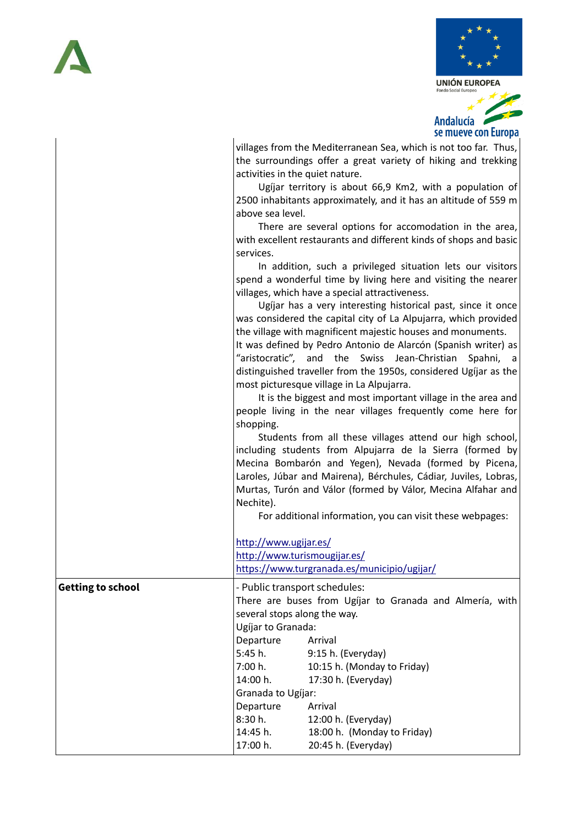

villages from the Mediterranean Sea, which is not too far. Thus, the surroundings offer a great variety of hiking and trekking activities in the quiet nature. Ugíjar territory is about 66,9 Km2, with a population of 2500 inhabitants approximately, and it has an altitude of 559 m above sea level. There are several options for accomodation in the area, with excellent restaurants and different kinds of shops and basic services. In addition, such a privileged situation lets our visitors spend a wonderful time by living here and visiting the nearer villages, which have a special attractiveness. Ugíjar has a very interesting historical past, since it once was considered the capital city of La Alpujarra, which provided the village with magnificent majestic houses and monuments. It was defined by Pedro Antonio de Alarcón (Spanish writer) as "aristocratic", and the Swiss Jean-Christian Spahni, a distinguished traveller from the 1950s, considered Ugíjar as the most picturesque village in La Alpujarra. It is the biggest and most important village in the area and people living in the near villages frequently come here for shopping. Students from all these villages attend our high school, including students from Alpujarra de la Sierra (formed by Mecina Bombarón and Yegen), Nevada (formed by Picena, Laroles, Júbar and Mairena), Bérchules, Cádiar, Juviles, Lobras, Murtas, Turón and Válor (formed by Válor, Mecina Alfahar and Nechite). For additional information, you can visit these webpages: <http://www.ugijar.es/> <http://www.turismougijar.es/> <https://www.turgranada.es/municipio/ugijar/> **Getting to school**  $\vert$ -Public transport schedules: There are buses from Ugíjar to Granada and Almería, with several stops along the way. Ugíjar to Granada: Departure Arrival 5:45 h. 9:15 h. (Everyday) 7:00 h. 10:15 h. (Monday to Friday) 14:00 h. 17:30 h. (Everyday) Granada to Ugíjar: Departure Arrival 8:30 h. 12:00 h. (Everyday) 14:45 h. 18:00 h. (Monday to Friday)

17:00 h. 20:45 h. (Everyday)